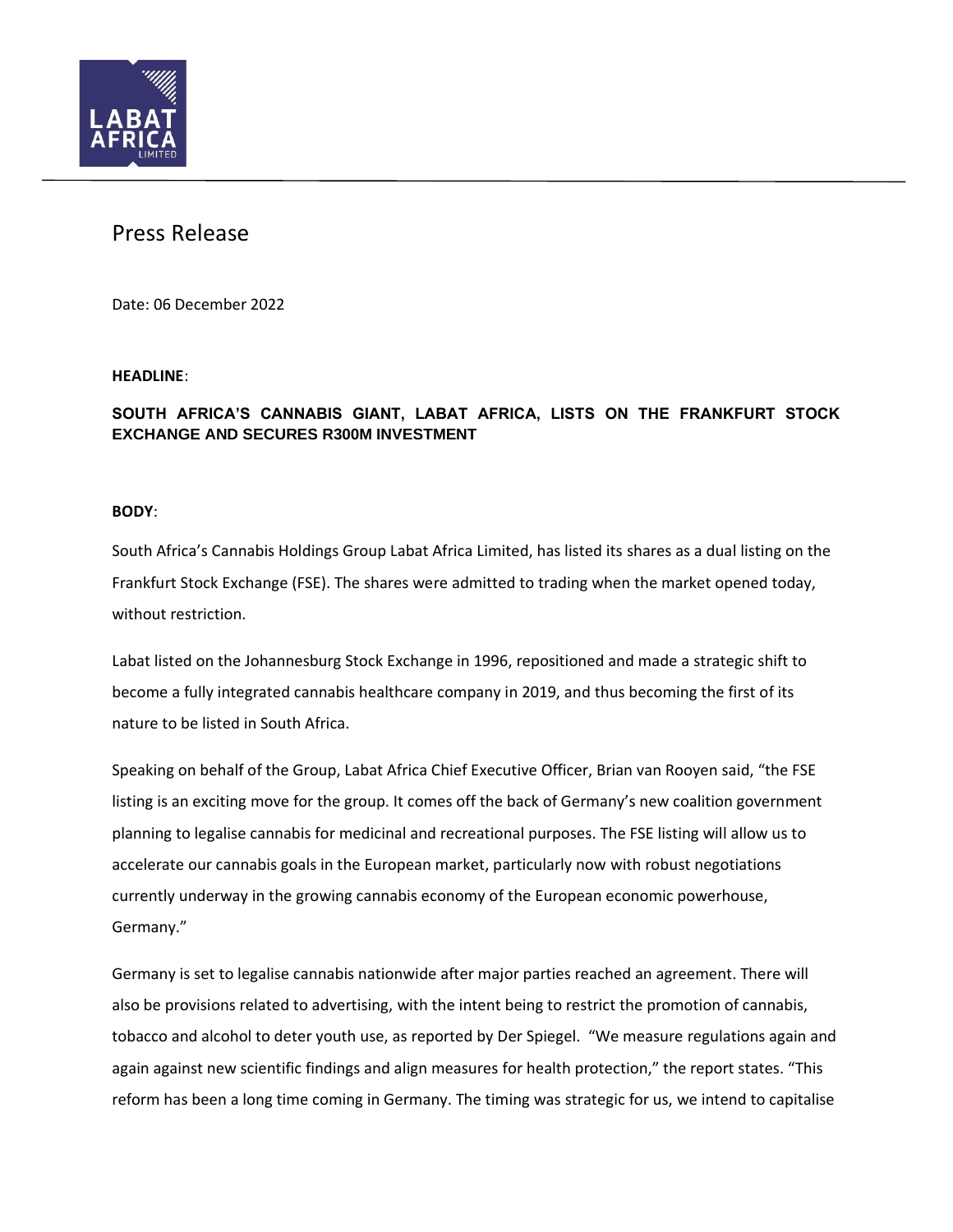

# Press Release

Date: 06 December 2022

### **HEADLINE**:

## **SOUTH AFRICA'S CANNABIS GIANT, LABAT AFRICA, LISTS ON THE FRANKFURT STOCK EXCHANGE AND SECURES R300M INVESTMENT**

### **BODY**:

South Africa's Cannabis Holdings Group Labat Africa Limited, has listed its shares as a dual listing on the Frankfurt Stock Exchange (FSE). The shares were admitted to trading when the market opened today, without restriction.

Labat listed on the Johannesburg Stock Exchange in 1996, repositioned and made a strategic shift to become a fully integrated cannabis healthcare company in 2019, and thus becoming the first of its nature to be listed in South Africa.

Speaking on behalf of the Group, Labat Africa Chief Executive Officer, Brian van Rooyen said, "the FSE listing is an exciting move for the group. It comes off the back of Germany's new coalition government planning to legalise cannabis for medicinal and recreational purposes. The FSE listing will allow us to accelerate our cannabis goals in the European market, particularly now with robust negotiations currently underway in the growing cannabis economy of the European economic powerhouse, Germany."

Germany is set to legalise cannabis nationwide after major parties reached an agreement. There will also be provisions related to advertising, with the intent being to restrict the promotion of cannabis, tobacco and alcohol to deter youth use, as [reported](https://www.spiegel.de/politik/deutschland/ampel-parteien-einigen-sich-auf-legalisierung-von-cannabis-a-216b328b-5746-4eb8-afe6-034ea7a05269) by Der Spiegel. "We measure regulations again and again against new scientific findings and align measures for health protection," the report states. "This reform has been a long time coming in Germany. The timing was strategic for us, we intend to capitalise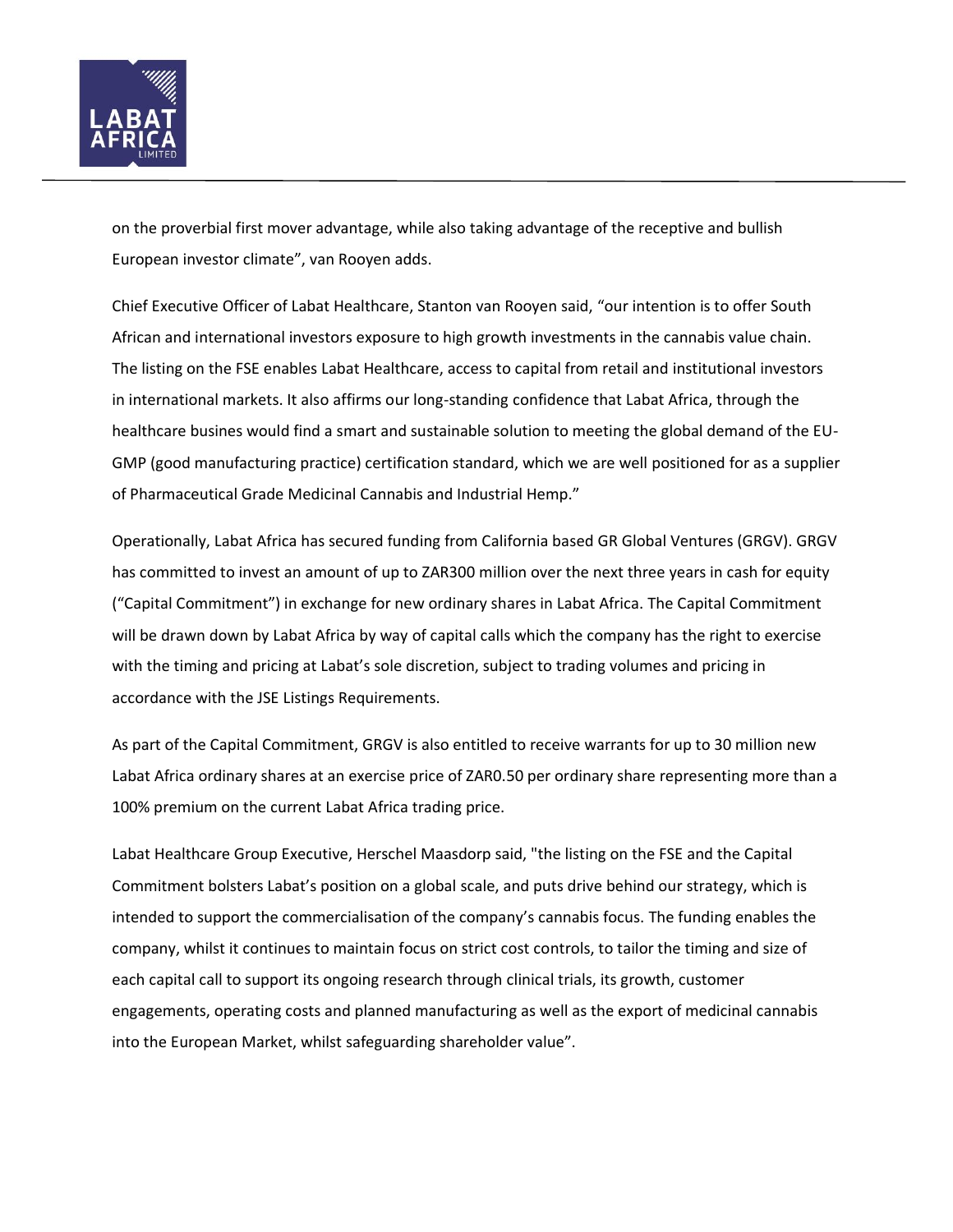

on the proverbial first mover advantage, while also taking advantage of the receptive and bullish European investor climate", van Rooyen adds.

Chief Executive Officer of Labat Healthcare, Stanton van Rooyen said, "our intention is to offer South African and international investors exposure to high growth investments in the cannabis value chain. The listing on the FSE enables Labat Healthcare, access to capital from retail and institutional investors in international markets. It also affirms our long-standing confidence that Labat Africa, through the healthcare busines would find a smart and sustainable solution to meeting the global demand of the EU-GMP (good manufacturing practice) certification standard, which we are well positioned for as a supplier of Pharmaceutical Grade Medicinal Cannabis and Industrial Hemp."

Operationally, Labat Africa has secured funding from California based GR Global Ventures (GRGV). GRGV has committed to invest an amount of up to ZAR300 million over the next three years in cash for equity ("Capital Commitment") in exchange for new ordinary shares in Labat Africa. The Capital Commitment will be drawn down by Labat Africa by way of capital calls which the company has the right to exercise with the timing and pricing at Labat's sole discretion, subject to trading volumes and pricing in accordance with the JSE Listings Requirements.

As part of the Capital Commitment, GRGV is also entitled to receive warrants for up to 30 million new Labat Africa ordinary shares at an exercise price of ZAR0.50 per ordinary share representing more than a 100% premium on the current Labat Africa trading price.

Labat Healthcare Group Executive, Herschel Maasdorp said, "the listing on the FSE and the Capital Commitment bolsters Labat's position on a global scale, and puts drive behind our strategy, which is intended to support the commercialisation of the company's cannabis focus. The funding enables the company, whilst it continues to maintain focus on strict cost controls, to tailor the timing and size of each capital call to support its ongoing research through clinical trials, its growth, customer engagements, operating costs and planned manufacturing as well as the export of medicinal cannabis into the European Market, whilst safeguarding shareholder value".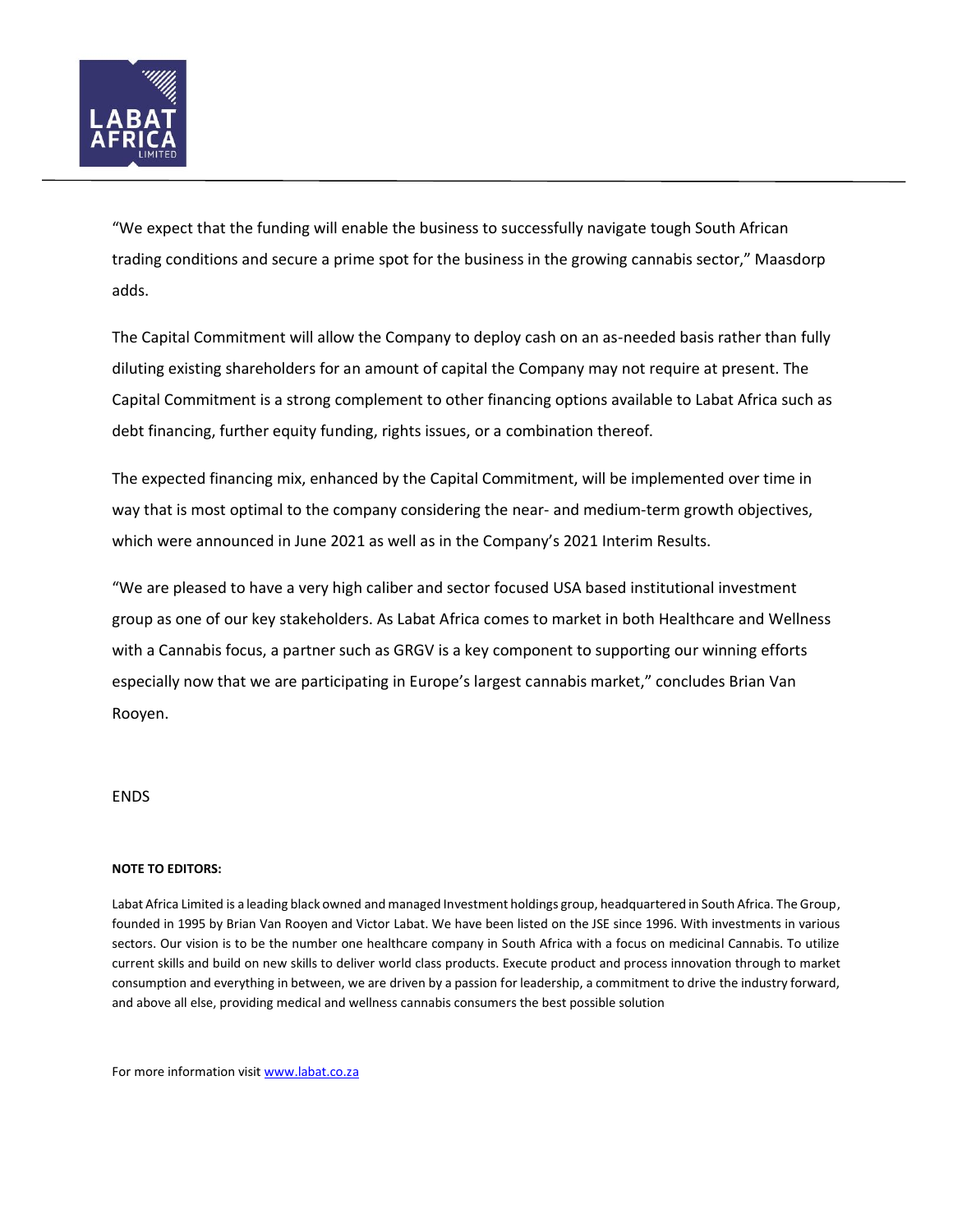

"We expect that the funding will enable the business to successfully navigate tough South African trading conditions and secure a prime spot for the business in the growing cannabis sector," Maasdorp adds.

The Capital Commitment will allow the Company to deploy cash on an as-needed basis rather than fully diluting existing shareholders for an amount of capital the Company may not require at present. The Capital Commitment is a strong complement to other financing options available to Labat Africa such as debt financing, further equity funding, rights issues, or a combination thereof.

The expected financing mix, enhanced by the Capital Commitment, will be implemented over time in way that is most optimal to the company considering the near- and medium-term growth objectives, which were announced in June 2021 as well as in the Company's 2021 Interim Results.

"We are pleased to have a very high caliber and sector focused USA based institutional investment group as one of our key stakeholders. As Labat Africa comes to market in both Healthcare and Wellness with a Cannabis focus, a partner such as GRGV is a key component to supporting our winning efforts especially now that we are participating in Europe's largest cannabis market," concludes Brian Van Rooyen.

### ENDS

#### **NOTE TO EDITORS:**

Labat Africa Limited is a leading black owned and managed Investment holdings group, headquartered in South Africa. The Group, founded in 1995 by Brian Van Rooyen and Victor Labat. We have been listed on the JSE since 1996. With investments in various sectors. Our vision is to be the number one healthcare company in South Africa with a focus on medicinal Cannabis. To utilize current skills and build on new skills to deliver world class products. Execute product and process innovation through to market consumption and everything in between, we are driven by a passion for leadership, a commitment to drive the industry forward, and above all else, providing medical and wellness cannabis consumers the best possible solution

For more information visit [www.labat.co.za](http://www.labat.co.za/)